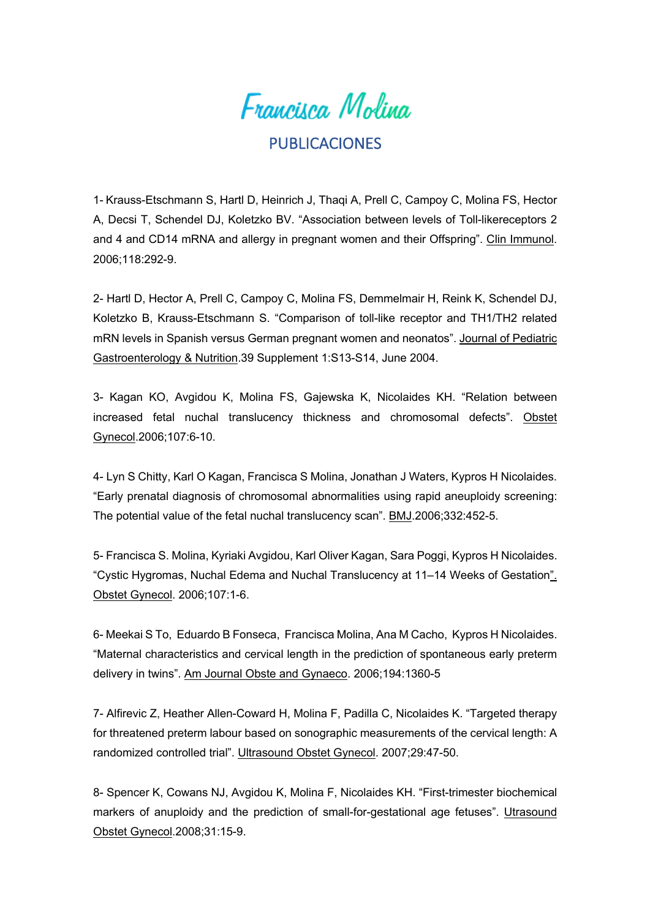

## PUBLICACIONES

1- Krauss-Etschmann S, Hartl D, Heinrich J, Thaqi A, Prell C, Campoy C, Molina FS, Hector A, Decsi T, Schendel DJ, Koletzko BV. "Association between levels of Toll-likereceptors 2 and 4 and CD14 mRNA and allergy in pregnant women and their Offspring". Clin Immunol. 2006;118:292-9.

2- Hartl D, Hector A, Prell C, Campoy C, Molina FS, Demmelmair H, Reink K, Schendel DJ, Koletzko B, Krauss-Etschmann S. "Comparison of toll-like receptor and TH1/TH2 related mRN levels in Spanish versus German pregnant women and neonatos". Journal of Pediatric Gastroenterology & Nutrition.39 Supplement 1:S13-S14, June 2004.

3- Kagan KO, Avgidou K, Molina FS, Gajewska K, Nicolaides KH. "Relation between increased fetal nuchal translucency thickness and chromosomal defects". Obstet Gynecol.2006;107:6-10.

4- Lyn S Chitty, Karl O Kagan, Francisca S Molina, Jonathan J Waters, Kypros H Nicolaides. "Early prenatal diagnosis of chromosomal abnormalities using rapid aneuploidy screening: The potential value of the fetal nuchal translucency scan". BMJ.2006;332:452-5.

5- Francisca S. Molina, Kyriaki Avgidou, Karl Oliver Kagan, Sara Poggi, Kypros H Nicolaides. "Cystic Hygromas, Nuchal Edema and Nuchal Translucency at 11–14 Weeks of Gestation". Obstet Gynecol. 2006;107:1-6.

6- Meekai S To, Eduardo B Fonseca, Francisca Molina, Ana M Cacho, Kypros H Nicolaides. "Maternal characteristics and cervical length in the prediction of spontaneous early preterm delivery in twins". Am Journal Obste and Gynaeco. 2006;194:1360-5

7- Alfirevic Z, Heather Allen-Coward H, Molina F, Padilla C, Nicolaides K. "Targeted therapy for threatened preterm labour based on sonographic measurements of the cervical length: A randomized controlled trial". Ultrasound Obstet Gynecol. 2007;29:47-50.

8- Spencer K, Cowans NJ, Avgidou K, Molina F, Nicolaides KH. "First-trimester biochemical markers of anuploidy and the prediction of small-for-gestational age fetuses". Utrasound Obstet Gynecol.2008;31:15-9.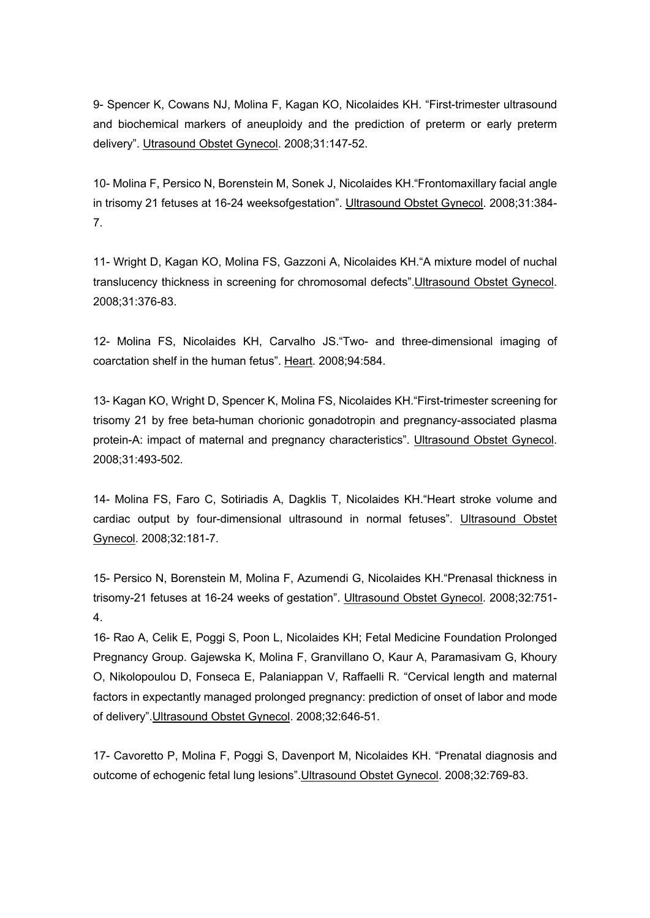9- Spencer K, Cowans NJ, Molina F, Kagan KO, Nicolaides KH. "First-trimester ultrasound and biochemical markers of aneuploidy and the prediction of preterm or early preterm delivery". Utrasound Obstet Gynecol. 2008;31:147-52.

10- Molina F, Persico N, Borenstein M, Sonek J, Nicolaides KH."Frontomaxillary facial angle in trisomy 21 fetuses at 16-24 weeksofgestation". Ultrasound Obstet Gynecol. 2008;31:384- 7.

11- Wright D, Kagan KO, Molina FS, Gazzoni A, Nicolaides KH."A mixture model of nuchal translucency thickness in screening for chromosomal defects".Ultrasound Obstet Gynecol. 2008;31:376-83.

12- Molina FS, Nicolaides KH, Carvalho JS."Two- and three-dimensional imaging of coarctation shelf in the human fetus". Heart. 2008;94:584.

13- Kagan KO, Wright D, Spencer K, Molina FS, Nicolaides KH."First-trimester screening for trisomy 21 by free beta-human chorionic gonadotropin and pregnancy-associated plasma protein-A: impact of maternal and pregnancy characteristics". Ultrasound Obstet Gynecol. 2008;31:493-502.

14- Molina FS, Faro C, Sotiriadis A, Dagklis T, Nicolaides KH."Heart stroke volume and cardiac output by four-dimensional ultrasound in normal fetuses". Ultrasound Obstet Gynecol. 2008;32:181-7.

15- Persico N, Borenstein M, Molina F, Azumendi G, Nicolaides KH."Prenasal thickness in trisomy-21 fetuses at 16-24 weeks of gestation". Ultrasound Obstet Gynecol. 2008;32:751- 4.

16- Rao A, Celik E, Poggi S, Poon L, Nicolaides KH; Fetal Medicine Foundation Prolonged Pregnancy Group. Gajewska K, Molina F, Granvillano O, Kaur A, Paramasivam G, Khoury O, Nikolopoulou D, Fonseca E, Palaniappan V, Raffaelli R. "Cervical length and maternal factors in expectantly managed prolonged pregnancy: prediction of onset of labor and mode of delivery".Ultrasound Obstet Gynecol. 2008;32:646-51.

17- Cavoretto P, Molina F, Poggi S, Davenport M, Nicolaides KH. "Prenatal diagnosis and outcome of echogenic fetal lung lesions".Ultrasound Obstet Gynecol. 2008;32:769-83.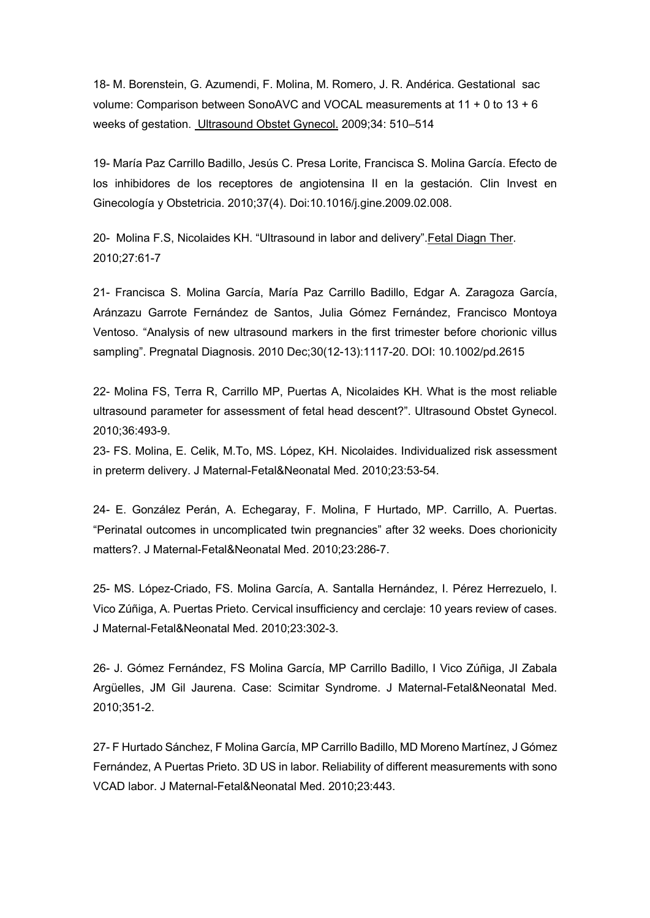18- M. Borenstein, G. Azumendi, F. Molina, M. Romero, J. R. Andérica. Gestational sac volume: Comparison between SonoAVC and VOCAL measurements at 11 + 0 to 13 + 6 weeks of gestation. Ultrasound Obstet Gynecol. 2009;34: 510–514

19- María Paz Carrillo Badillo, Jesús C. Presa Lorite, Francisca S. Molina García. Efecto de los inhibidores de los receptores de angiotensina II en la gestación. Clin Invest en Ginecología y Obstetricia. 2010;37(4). Doi:10.1016/j.gine.2009.02.008.

20- Molina F.S, Nicolaides KH. "Ultrasound in labor and delivery".Fetal Diagn Ther. 2010;27:61-7

21- Francisca S. Molina García, María Paz Carrillo Badillo, Edgar A. Zaragoza García, Aránzazu Garrote Fernández de Santos, Julia Gómez Fernández, Francisco Montoya Ventoso. "Analysis of new ultrasound markers in the first trimester before chorionic villus sampling". Pregnatal Diagnosis. 2010 Dec;30(12-13):1117-20. DOI: 10.1002/pd.2615

22- Molina FS, Terra R, Carrillo MP, Puertas A, Nicolaides KH. What is the most reliable ultrasound parameter for assessment of fetal head descent?". Ultrasound Obstet Gynecol. 2010;36:493-9.

23- FS. Molina, E. Celik, M.To, MS. López, KH. Nicolaides. Individualized risk assessment in preterm delivery. J Maternal-Fetal&Neonatal Med. 2010;23:53-54.

24- E. González Perán, A. Echegaray, F. Molina, F Hurtado, MP. Carrillo, A. Puertas. "Perinatal outcomes in uncomplicated twin pregnancies" after 32 weeks. Does chorionicity matters?. J Maternal-Fetal&Neonatal Med. 2010;23:286-7.

25- MS. López-Criado, FS. Molina García, A. Santalla Hernández, I. Pérez Herrezuelo, I. Vico Zúñiga, A. Puertas Prieto. Cervical insufficiency and cerclaje: 10 years review of cases. J Maternal-Fetal&Neonatal Med. 2010;23:302-3.

26- J. Gómez Fernández, FS Molina García, MP Carrillo Badillo, I Vico Zúñiga, JI Zabala Argüelles, JM Gil Jaurena. Case: Scimitar Syndrome. J Maternal-Fetal&Neonatal Med. 2010;351-2.

27- F Hurtado Sánchez, F Molina García, MP Carrillo Badillo, MD Moreno Martínez, J Gómez Fernández, A Puertas Prieto. 3D US in labor. Reliability of different measurements with sono VCAD labor. J Maternal-Fetal&Neonatal Med. 2010;23:443.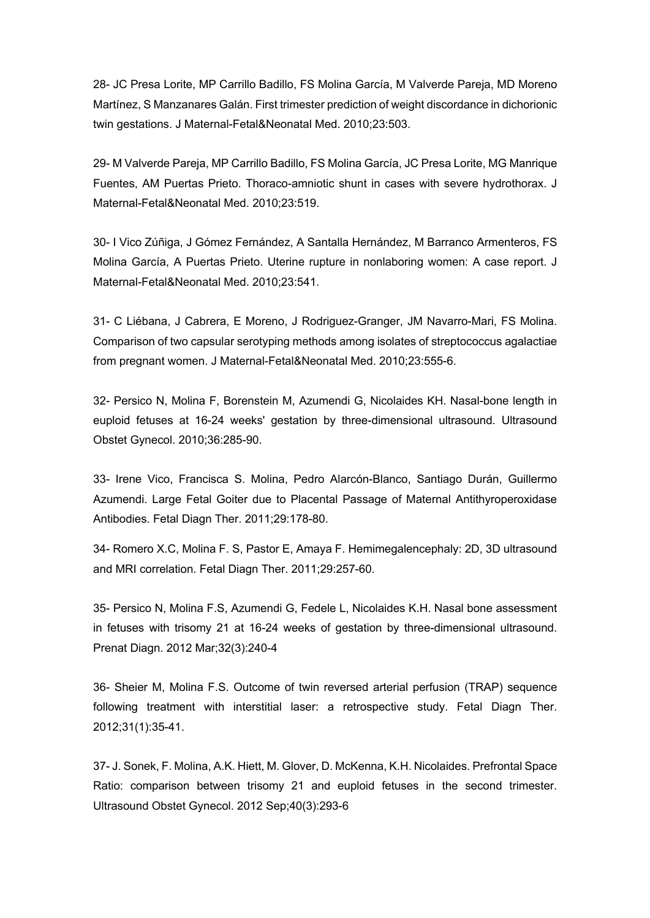28- JC Presa Lorite, MP Carrillo Badillo, FS Molina García, M Valverde Pareja, MD Moreno Martínez, S Manzanares Galán. First trimester prediction of weight discordance in dichorionic twin gestations. J Maternal-Fetal&Neonatal Med. 2010;23:503.

29- M Valverde Pareja, MP Carrillo Badillo, FS Molina García, JC Presa Lorite, MG Manrique Fuentes, AM Puertas Prieto. Thoraco-amniotic shunt in cases with severe hydrothorax. J Maternal-Fetal&Neonatal Med. 2010;23:519.

30- I Vico Zúñiga, J Gómez Fernández, A Santalla Hernández, M Barranco Armenteros, FS Molina García, A Puertas Prieto. Uterine rupture in nonlaboring women: A case report. J Maternal-Fetal&Neonatal Med. 2010;23:541.

31- C Liébana, J Cabrera, E Moreno, J Rodriguez-Granger, JM Navarro-Mari, FS Molina. Comparison of two capsular serotyping methods among isolates of streptococcus agalactiae from pregnant women. J Maternal-Fetal&Neonatal Med. 2010;23:555-6.

32- Persico N, Molina F, Borenstein M, Azumendi G, Nicolaides KH. Nasal-bone length in euploid fetuses at 16-24 weeks' gestation by three-dimensional ultrasound. Ultrasound Obstet Gynecol. 2010;36:285-90.

33- Irene Vico, Francisca S. Molina, Pedro Alarcón-Blanco, Santiago Durán, Guillermo Azumendi. Large Fetal Goiter due to Placental Passage of Maternal Antithyroperoxidase Antibodies. Fetal Diagn Ther. 2011;29:178-80.

34- Romero X.C, Molina F. S, Pastor E, Amaya F. Hemimegalencephaly: 2D, 3D ultrasound and MRI correlation. Fetal Diagn Ther. 2011;29:257-60.

35- Persico N, Molina F.S, Azumendi G, Fedele L, Nicolaides K.H. Nasal bone assessment in fetuses with trisomy 21 at 16-24 weeks of gestation by three-dimensional ultrasound. Prenat Diagn. 2012 Mar;32(3):240-4

36- Sheier M, Molina F.S. Outcome of twin reversed arterial perfusion (TRAP) sequence following treatment with interstitial laser: a retrospective study. Fetal Diagn Ther. 2012;31(1):35-41.

37- J. Sonek, F. Molina, A.K. Hiett, M. Glover, D. McKenna, K.H. Nicolaides. Prefrontal Space Ratio: comparison between trisomy 21 and euploid fetuses in the second trimester. Ultrasound Obstet Gynecol. 2012 Sep;40(3):293-6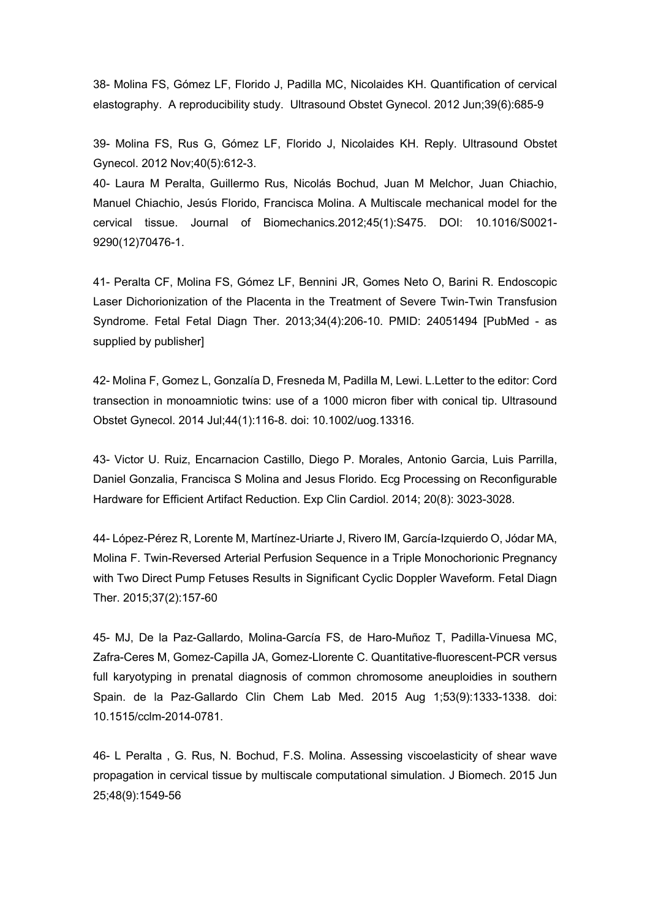38- Molina FS, Gómez LF, Florido J, Padilla MC, Nicolaides KH. Quantification of cervical elastography. A reproducibility study. Ultrasound Obstet Gynecol. 2012 Jun;39(6):685-9

39- Molina FS, Rus G, Gómez LF, Florido J, Nicolaides KH. Reply. Ultrasound Obstet Gynecol. 2012 Nov;40(5):612-3.

40- Laura M Peralta, Guillermo Rus, Nicolás Bochud, Juan M Melchor, Juan Chiachio, Manuel Chiachio, Jesús Florido, Francisca Molina. A Multiscale mechanical model for the cervical tissue. Journal of Biomechanics.2012;45(1):S475. DOI: 10.1016/S0021- 9290(12)70476-1.

41- Peralta CF, Molina FS, Gómez LF, Bennini JR, Gomes Neto O, Barini R. Endoscopic Laser Dichorionization of the Placenta in the Treatment of Severe Twin-Twin Transfusion Syndrome. Fetal Fetal Diagn Ther. 2013;34(4):206-10. PMID: 24051494 [PubMed - as supplied by publisher]

42- Molina F, Gomez L, Gonzalía D, Fresneda M, Padilla M, Lewi. L.Letter to the editor: Cord transection in monoamniotic twins: use of a 1000 micron fiber with conical tip. Ultrasound Obstet Gynecol. 2014 Jul;44(1):116-8. doi: 10.1002/uog.13316.

43- Victor U. Ruiz, Encarnacion Castillo, Diego P. Morales, Antonio Garcia, Luis Parrilla, Daniel Gonzalia, Francisca S Molina and Jesus Florido. Ecg Processing on Reconfigurable Hardware for Efficient Artifact Reduction. Exp Clin Cardiol. 2014; 20(8): 3023-3028.

44- López-Pérez R, Lorente M, Martínez-Uriarte J, Rivero IM, García-Izquierdo O, Jódar MA, Molina F. Twin-Reversed Arterial Perfusion Sequence in a Triple Monochorionic Pregnancy with Two Direct Pump Fetuses Results in Significant Cyclic Doppler Waveform. Fetal Diagn Ther. 2015;37(2):157-60

45- MJ, De la Paz-Gallardo, Molina-García FS, de Haro-Muñoz T, Padilla-Vinuesa MC, Zafra-Ceres M, Gomez-Capilla JA, Gomez-Llorente C. Quantitative-fluorescent-PCR versus full karyotyping in prenatal diagnosis of common chromosome aneuploidies in southern Spain. de la Paz-Gallardo Clin Chem Lab Med. 2015 Aug 1;53(9):1333-1338. doi: 10.1515/cclm-2014-0781.

46- L Peralta , G. Rus, N. Bochud, F.S. Molina. Assessing viscoelasticity of shear wave propagation in cervical tissue by multiscale computational simulation. J Biomech. 2015 Jun 25;48(9):1549-56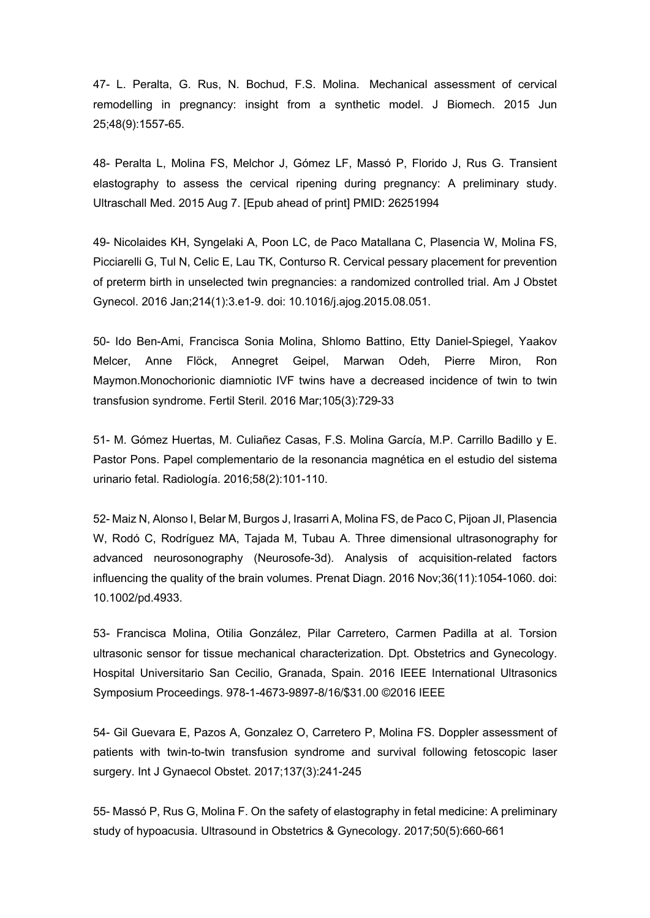47- L. Peralta, G. Rus, N. Bochud, F.S. Molina. Mechanical assessment of cervical remodelling in pregnancy: insight from a synthetic model. J Biomech. 2015 Jun 25;48(9):1557-65.

48- Peralta L, Molina FS, Melchor J, Gómez LF, Massó P, Florido J, Rus G. Transient elastography to assess the cervical ripening during pregnancy: A preliminary study. Ultraschall Med. 2015 Aug 7. [Epub ahead of print] PMID: 26251994

49- Nicolaides KH, Syngelaki A, Poon LC, de Paco Matallana C, Plasencia W, Molina FS, Picciarelli G, Tul N, Celic E, Lau TK, Conturso R. Cervical pessary placement for prevention of preterm birth in unselected twin pregnancies: a randomized controlled trial. Am J Obstet Gynecol. 2016 Jan;214(1):3.e1-9. doi: 10.1016/j.ajog.2015.08.051.

50- Ido Ben-Ami, Francisca Sonia Molina, Shlomo Battino, Etty Daniel-Spiegel, Yaakov Melcer, Anne Flöck, Annegret Geipel, Marwan Odeh, Pierre Miron, Ron Maymon.Monochorionic diamniotic IVF twins have a decreased incidence of twin to twin transfusion syndrome. Fertil Steril. 2016 Mar;105(3):729-33

51- M. Gómez Huertas, M. Culiañez Casas, F.S. Molina García, M.P. Carrillo Badillo y E. Pastor Pons. Papel complementario de la resonancia magnética en el estudio del sistema urinario fetal. Radiología. 2016;58(2):101-110.

52- Maiz N, Alonso I, Belar M, Burgos J, Irasarri A, Molina FS, de Paco C, Pijoan JI, Plasencia W, Rodó C, Rodríguez MA, Tajada M, Tubau A. Three dimensional ultrasonography for advanced neurosonography (Neurosofe-3d). Analysis of acquisition-related factors influencing the quality of the brain volumes. Prenat Diagn. 2016 Nov;36(11):1054-1060. doi: 10.1002/pd.4933.

53- Francisca Molina, Otilia González, Pilar Carretero, Carmen Padilla at al. Torsion ultrasonic sensor for tissue mechanical characterization. Dpt. Obstetrics and Gynecology. Hospital Universitario San Cecilio, Granada, Spain. 2016 IEEE International Ultrasonics Symposium Proceedings. 978-1-4673-9897-8/16/\$31.00 ©2016 IEEE

54- Gil Guevara E, Pazos A, Gonzalez O, Carretero P, Molina FS. Doppler assessment of patients with twin-to-twin transfusion syndrome and survival following fetoscopic laser surgery. Int J Gynaecol Obstet. 2017;137(3):241-245

55- Massó P, Rus G, Molina F. On the safety of elastography in fetal medicine: A preliminary study of hypoacusia. Ultrasound in Obstetrics & Gynecology. 2017;50(5):660-661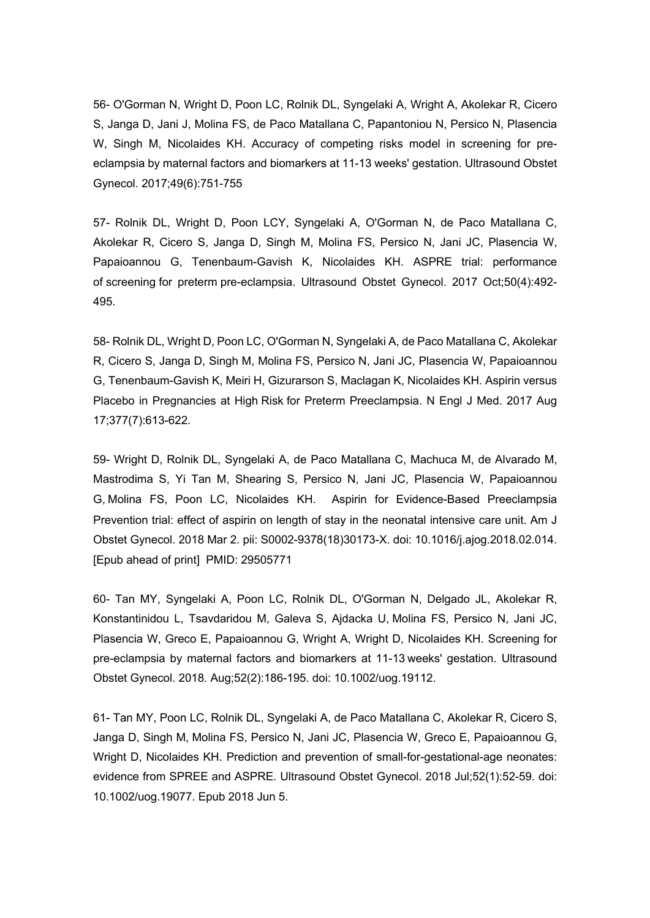56- O'Gorman N, Wright D, Poon LC, Rolnik DL, Syngelaki A, Wright A, Akolekar R, Cicero S, Janga D, Jani J, Molina FS, de Paco Matallana C, Papantoniou N, Persico N, Plasencia W, Singh M, Nicolaides KH. Accuracy of competing risks model in screening for preeclampsia by maternal factors and biomarkers at 11-13 weeks' gestation. Ultrasound Obstet Gynecol. 2017;49(6):751-755

57- Rolnik DL, Wright D, Poon LCY, Syngelaki A, O'Gorman N, de Paco Matallana C, Akolekar R, Cicero S, Janga D, Singh M, Molina FS, Persico N, Jani JC, Plasencia W, Papaioannou G, Tenenbaum-Gavish K, Nicolaides KH. ASPRE trial: performance of screening for preterm pre-eclampsia. Ultrasound Obstet Gynecol. 2017 Oct;50(4):492- 495.

58- Rolnik DL, Wright D, Poon LC, O'Gorman N, Syngelaki A, de Paco Matallana C, Akolekar R, Cicero S, Janga D, Singh M, Molina FS, Persico N, Jani JC, Plasencia W, Papaioannou G, Tenenbaum-Gavish K, Meiri H, Gizurarson S, Maclagan K, Nicolaides KH. Aspirin versus Placebo in Pregnancies at High Risk for Preterm Preeclampsia. N Engl J Med. 2017 Aug 17;377(7):613-622.

59- Wright D, Rolnik DL, Syngelaki A, de Paco Matallana C, Machuca M, de Alvarado M, Mastrodima S, Yi Tan M, Shearing S, Persico N, Jani JC, Plasencia W, Papaioannou G, Molina FS, Poon LC, Nicolaides KH. Aspirin for Evidence-Based Preeclampsia Prevention trial: effect of aspirin on length of stay in the neonatal intensive care unit. Am J Obstet Gynecol. 2018 Mar 2. pii: S0002-9378(18)30173-X. doi: 10.1016/j.ajog.2018.02.014. [Epub ahead of print] PMID: 29505771

60- Tan MY, Syngelaki A, Poon LC, Rolnik DL, O'Gorman N, Delgado JL, Akolekar R, Konstantinidou L, Tsavdaridou M, Galeva S, Ajdacka U, Molina FS, Persico N, Jani JC, Plasencia W, Greco E, Papaioannou G, Wright A, Wright D, Nicolaides KH. Screening for pre-eclampsia by maternal factors and biomarkers at 11-13 weeks' gestation. Ultrasound Obstet Gynecol. 2018. Aug;52(2):186-195. doi: 10.1002/uog.19112.

61- Tan MY, Poon LC, Rolnik DL, Syngelaki A, de Paco Matallana C, Akolekar R, Cicero S, Janga D, Singh M, Molina FS, Persico N, Jani JC, Plasencia W, Greco E, Papaioannou G, Wright D, Nicolaides KH. Prediction and prevention of small-for-gestational-age neonates: evidence from SPREE and ASPRE. Ultrasound Obstet Gynecol. 2018 Jul;52(1):52-59. doi: 10.1002/uog.19077. Epub 2018 Jun 5.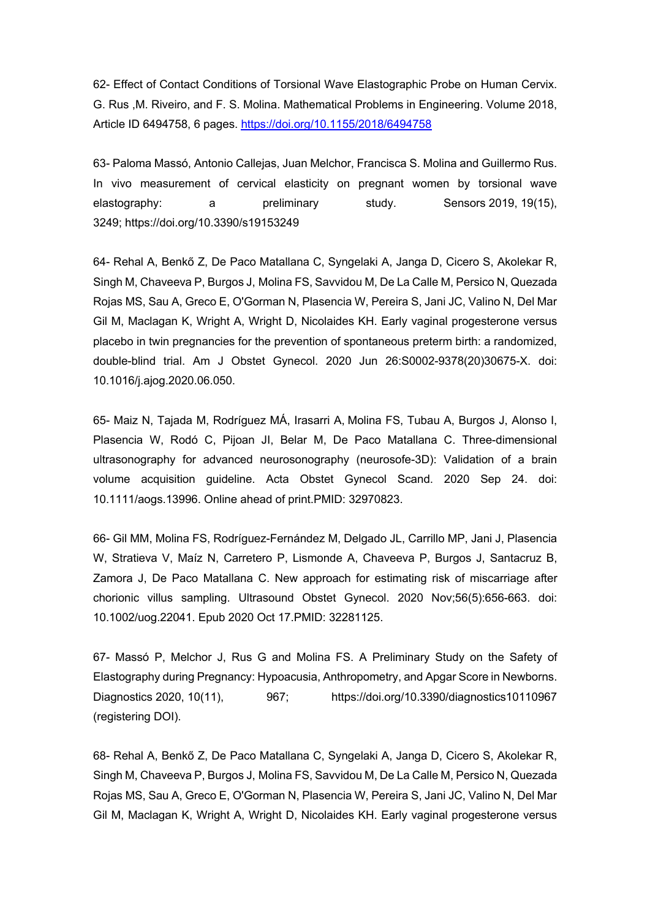62- Effect of Contact Conditions of Torsional Wave Elastographic Probe on Human Cervix. G. Rus ,M. Riveiro, and F. S. Molina. Mathematical Problems in Engineering. Volume 2018, Article ID 6494758, 6 pages. https://doi.org/10.1155/2018/6494758

63- Paloma Massó, Antonio Callejas, Juan Melchor, Francisca S. Molina and Guillermo Rus. In vivo measurement of cervical elasticity on pregnant women by torsional wave elastography: a preliminary study. Sensors 2019, 19(15), 3249; https://doi.org/10.3390/s19153249

64- Rehal A, Benkő Z, De Paco Matallana C, Syngelaki A, Janga D, Cicero S, Akolekar R, Singh M, Chaveeva P, Burgos J, Molina FS, Savvidou M, De La Calle M, Persico N, Quezada Rojas MS, Sau A, Greco E, O'Gorman N, Plasencia W, Pereira S, Jani JC, Valino N, Del Mar Gil M, Maclagan K, Wright A, Wright D, Nicolaides KH. Early vaginal progesterone versus placebo in twin pregnancies for the prevention of spontaneous preterm birth: a randomized, double-blind trial. Am J Obstet Gynecol. 2020 Jun 26:S0002-9378(20)30675-X. doi: 10.1016/j.ajog.2020.06.050.

65- Maiz N, Tajada M, Rodríguez MÁ, Irasarri A, Molina FS, Tubau A, Burgos J, Alonso I, Plasencia W, Rodó C, Pijoan JI, Belar M, De Paco Matallana C. Three-dimensional ultrasonography for advanced neurosonography (neurosofe-3D): Validation of a brain volume acquisition guideline. Acta Obstet Gynecol Scand. 2020 Sep 24. doi: 10.1111/aogs.13996. Online ahead of print.PMID: 32970823.

66- Gil MM, Molina FS, Rodríguez-Fernández M, Delgado JL, Carrillo MP, Jani J, Plasencia W, Stratieva V, Maíz N, Carretero P, Lismonde A, Chaveeva P, Burgos J, Santacruz B, Zamora J, De Paco Matallana C. New approach for estimating risk of miscarriage after chorionic villus sampling. Ultrasound Obstet Gynecol. 2020 Nov;56(5):656-663. doi: 10.1002/uog.22041. Epub 2020 Oct 17.PMID: 32281125.

67- Massó P, Melchor J, Rus G and Molina FS. A Preliminary Study on the Safety of Elastography during Pregnancy: Hypoacusia, Anthropometry, and Apgar Score in Newborns. Diagnostics 2020, 10(11), 967; https://doi.org/10.3390/diagnostics10110967 (registering DOI).

68- Rehal A, Benkő Z, De Paco Matallana C, Syngelaki A, Janga D, Cicero S, Akolekar R, Singh M, Chaveeva P, Burgos J, Molina FS, Savvidou M, De La Calle M, Persico N, Quezada Rojas MS, Sau A, Greco E, O'Gorman N, Plasencia W, Pereira S, Jani JC, Valino N, Del Mar Gil M, Maclagan K, Wright A, Wright D, Nicolaides KH. Early vaginal progesterone versus